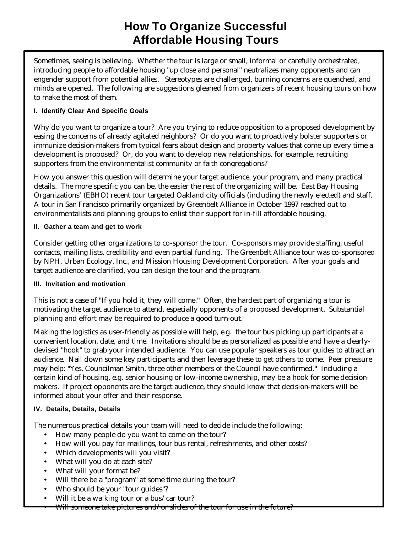# **How To Organize Successful Affordable Housing Tours**

Sometimes, seeing is believing. Whether the tour is large or small, informal or carefully orchestrated, introducing people to affordable housing "up close and personal" neutralizes many opponents and can engender support from potential allies. Stereotypes are challenged, burning concerns are quenched, and minds are opened. The following are suggestions gleaned from organizers of recent housing tours on how to make the most of them.

## **I. Identify Clear And Specific Goals**

Why do you want to organize a tour? Are you trying to reduce opposition to a proposed development by easing the concerns of already agitated neighbors? Or do you want to proactively bolster supporters or immunize decision-makers from typical fears about design and property values that come up every time a development is proposed? Or, do you want to develop new relationships, for example, recruiting supporters from the environmentalist community or faith congregations?

How you answer this question will determine your target audience, your program, and many practical details. The more specific you can be, the easier the rest of the organizing will be. East Bay Housing Organizations' (EBHO) recent tour targeted Oakland city officials (including the newly elected) and staff. A tour in San Francisco primarily organized by Greenbelt Alliance in October 1997 reached out to environmentalists and planning groups to enlist their support for in-fill affordable housing.

#### **II. Gather a team and get to work**

Consider getting other organizations to co-sponsor the tour. Co-sponsors may provide staffing, useful contacts, mailing lists, credibility and even partial funding. The Greenbelt Alliance tour was co-sponsored by NPH, Urban Ecology, Inc., and Mission Housing Development Corporation. After your goals and target audience are clarified, you can design the tour and the program.

## **III. Invitation and motivation**

This is not a case of "If you hold it, they will come." Often, the hardest part of organizing a tour is motivating the target audience to attend, especially opponents of a proposed development. Substantial planning and effort may be required to produce a good turn-out.

Making the logistics as user-friendly as possible will help, e.g. the tour bus picking up participants at a convenient location, date, and time. Invitations should be as personalized as possible and have a clearlydevised "hook" to grab your intended audience. You can use popular speakers as tour guides to attract an audience. Nail down some key participants and then leverage these to get others to come. Peer pressure may help: "Yes, Councilman Smith, three other members of the Council have confirmed." Including a certain kind of housing, e.g. senior housing or low-income ownership, may be a hook for some decisionmakers. If project opponents are the target audience, they should know that decision-makers will be informed about your offer and their response.

## **IV. Details, Details, Details**

The numerous practical details your team will need to decide include the following:

- How many people do you want to come on the tour?
- How will you pay for mailings, tour bus rental, refreshments, and other costs?
- Which developments will you visit?
- What will you do at each site?
- What will your format be?
- Will there be a "program" at some time during the tour?
- Who should be your "tour guides"?
- Will it be a walking tour or a bus/car tour?
- Will someone take pictures and/or slides of the tour for use in the future?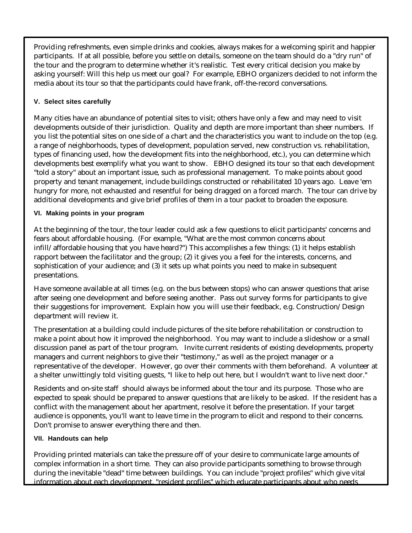Providing refreshments, even simple drinks and cookies, always makes for a welcoming spirit and happier participants. If at all possible, before you settle on details, someone on the team should do a "dry run" of the tour and the program to determine whether it's realistic. Test every critical decision you make by asking yourself: Will this help us meet our goal? For example, EBHO organizers decided to not inform the media about its tour so that the participants could have frank, off-the-record conversations.

## **V. Select sites carefully**

Many cities have an abundance of potential sites to visit; others have only a few and may need to visit developments outside of their jurisdiction. Quality and depth are more important than sheer numbers. If you list the potential sites on one side of a chart and the characteristics you want to include on the top (e.g. a range of neighborhoods, types of development, population served, new construction vs. rehabilitation, types of financing used, how the development fits into the neighborhood, etc.), you can determine which developments best exemplify what you want to show. EBHO designed its tour so that each development "told a story" about an important issue, such as professional management. To make points about good property and tenant management, include buildings constructed or rehabilitated 10 years ago. Leave 'em hungry for more, not exhausted and resentful for being dragged on a forced march. The tour can drive by additional developments and give brief profiles of them in a tour packet to broaden the exposure.

## **VI. Making points in your program**

At the beginning of the tour, the tour leader could ask a few questions to elicit participants' concerns and fears about affordable housing. (For example, "What are the most common concerns about infill/affordable housing that you have heard?") This accomplishes a few things: (1) it helps establish rapport between the facilitator and the group; (2) it gives you a feel for the interests, concerns, and sophistication of your audience; and (3) it sets up what points you need to make in subsequent presentations.

Have someone available at all times (e.g. on the bus between stops) who can answer questions that arise after seeing one development and before seeing another. Pass out survey forms for participants to give their suggestions for improvement. Explain how you will use their feedback, e.g. Construction/Design department will review it.

The presentation at a building could include pictures of the site before rehabilitation or construction to make a point about how it improved the neighborhood. You may want to include a slideshow or a small discussion panel as part of the tour program. Invite current residents of existing developments, property managers and current neighbors to give their "testimony," as well as the project manager or a representative of the developer. However, go over their comments with them beforehand. A volunteer at a shelter unwittingly told visiting guests, "I like to help out here, but I wouldn't want to live next door."

Residents and on-site staff should always be informed about the tour and its purpose. Those who are expected to speak should be prepared to answer questions that are likely to be asked. If the resident has a conflict with the management about her apartment, resolve it before the presentation. If your target audience is opponents, you'll want to leave time in the program to elicit and respond to their concerns. Don't promise to answer everything there and then.

#### **VII. Handouts can help**

Providing printed materials can take the pressure off of your desire to communicate large amounts of complex information in a short time. They can also provide participants something to browse through during the inevitable "dead" time between buildings. You can include "project profiles" which give vital information about each development, "resident profiles" which educate participants about who needs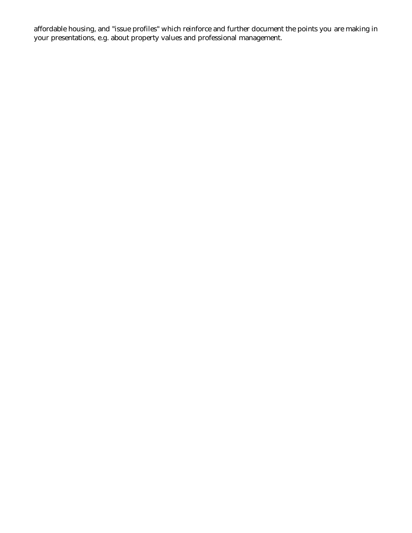affordable housing, and "issue profiles" which reinforce and further document the points you are making in your presentations, e.g. about property values and professional management.